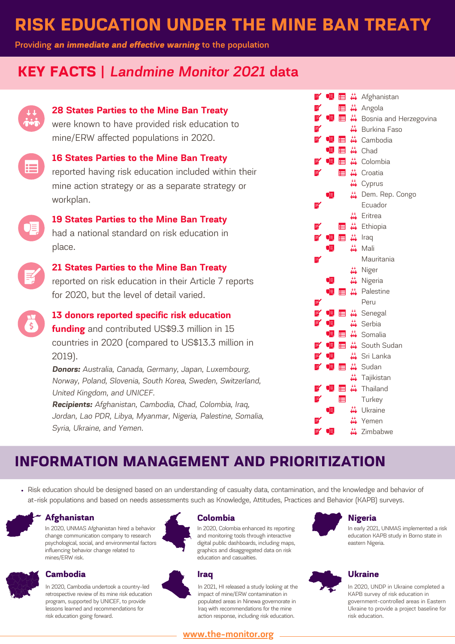# **RISK EDUCATION UNDER THE MINE BAN TREATY**

**Providing** *an immediate and effective warning* **to the population**

## **KEY FACTS |** *Landmine Monitor 2021* **data**



### **28 States Parties to the Mine Ban Treaty**

were known to have provided risk education to mine/ERW affected populations in 2020.



# **16 States Parties to the Mine Ban Treaty**

reported having risk education included within their mine action strategy or as a separate strategy or workplan.



## **19 States Parties to the Mine Ban Treaty** had a national standard on risk education in place.



## **21 States Parties to the Mine Ban Treaty**

reported on risk education in their Article 7 reports for 2020, but the level of detail varied.



## **13 donors reported specific risk education**

**funding** and contributed US\$9.3 million in 15 countries in 2020 (compared to US\$13.3 million in 2019).

*Donors: Australia, Canada, Germany, Japan, Luxembourg, Norway, Poland, Slovenia, South Korea, Sweden, Switzerland, United Kingdom, and UNICEF.*

*Recipients: Afghanistan, Cambodia, Chad, Colombia, Iraq, Jordan, Lao PDR, Libya, Myanmar, Nigeria, Palestine, Somalia, Syria, Ukraine, and Yemen.*

|    | F⁄ O P |    | 目前                                                  | Afghanistan                     |
|----|--------|----|-----------------------------------------------------|---------------------------------|
| e/ |        | E. | $\stackrel{\leftrightarrow}{\bullet\bullet\bullet}$ | Angola                          |
| ¥  | QĘ,    | E  | $\stackrel{\leftrightarrow}{\bullet}$               | Bosnia and Herzegovina          |
| ¥  |        |    | $\frac{1}{100}$                                     | <b>Burkina Faso</b>             |
|    | ₹ 0∃   | 目  | $\frac{1}{4}$                                       | Cambodia                        |
|    | 唄      |    | 目益                                                  | Chad                            |
| 孚  | 喗      |    |                                                     | <b>E</b> <del>ii</del> Colombia |
| e/ |        | E  |                                                     | in Croatia                      |
|    |        |    |                                                     | ₩ Cyprus                        |
|    | 項      |    | $\frac{1}{2}$                                       | Dem. Rep. Congo                 |
| e, |        |    |                                                     | Ecuador                         |
|    |        |    | $\frac{11}{100}$                                    | Eritrea                         |
|    |        | E  | $\frac{1}{4}$                                       | Ethiopia                        |
| Z  | OĘ,    | E  | $\frac{44}{\sinh x}$                                | Iraq                            |
|    | Œ      |    |                                                     | Mali                            |
| ¥  |        |    |                                                     | Mauritania                      |
|    |        |    |                                                     | Niger                           |
|    | JE,    |    | $\frac{1}{2}$                                       | Nigeria                         |
|    | Œ      | ⊟  | $\frac{1}{4}$                                       | Palestine                       |
| ¥  |        |    |                                                     | Peru                            |
| E, | 여      | E  | $\frac{1}{10}$                                      | Senegal                         |
| ¥  | QĘ,    |    |                                                     | ₩ Serbia                        |
|    | œ,     | E  | $\frac{1}{4}$                                       | Somalia                         |
|    |        | E  | $\frac{1}{4}$                                       | South Sudan                     |
| e⁄ | 여      |    |                                                     | ₩ Sri Lanka                     |
|    | ₹ 哩    | E  |                                                     | ₩ Sudan                         |
|    |        |    |                                                     | ₩ Tajikistan                    |
| 孚  | 여      |    | 目前                                                  | Thailand                        |
| ¥  |        | E  |                                                     | Turkey                          |
|    | D≣,    |    |                                                     | Ukraine                         |
|    |        |    |                                                     | Yemen                           |
| e⁄ | D≣_    |    |                                                     | Zimbabwe                        |
|    |        |    |                                                     |                                 |

# **INFORMATION MANAGEMENT AND PRIORITIZATION**

Risk education should be designed based on an understanding of casualty data, contamination, and the knowledge and behavior of at-risk populations and based on needs assessments such as Knowledge, Attitudes, Practices and Behavior (KAPB) surveys.



### **Afghanistan**

In 2020, UNMAS Afghanistan hired a behavior change communication company to research psychological, social, and environmental factors influencing behavior change related to mines/ERW risk.



### **Cambodia**

In 2020, Cambodia undertook a country-led retrospective review of its mine risk education program, supported by UNICEF, to provide lessons learned and recommendations for risk education going forward.



### **Colombia**

In 2020, Colombia enhanced its reporting and monitoring tools through interactive digital public dashboards, including maps, graphics and disaggregated data on risk education and casualties.

### **Iraq**

In 2021, HI released a study looking at the impact of mine/ERW contamination in populated areas in Ninewa governorate in Iraq with recommendations for the mine action response, including risk education.

## **[www.the-monitor.org](http://www.the-monitor.org/)**

# **Nigeria**

In early 2021, UNMAS implemented a risk education KAPB study in Borno state in eastern Nigeria.

### **Ukraine**

In 2020, UNDP in Ukraine completed a KAPB survey of risk education in government-controlled areas in Eastern Ukraine to provide a project baseline for risk education.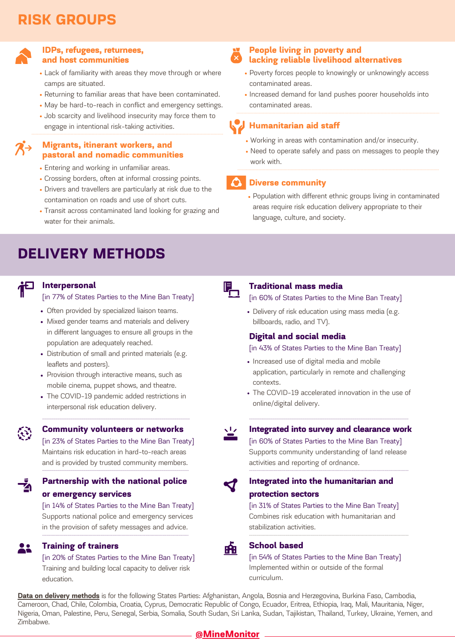# **RISK GROUPS**



### **IDPs, refugees, returnees, and host communities**

- Lack of familiarity with areas they move through or where camps are situated.
- Returning to familiar areas that have been contaminated.
- May be hard-to-reach in conflict and emergency settings.
- Job scarcity and livelihood insecurity may force them to engage in intentional risk-taking activities.

### **Migrants, itinerant workers, and pastoral and nomadic communities**

- Entering and working in unfamiliar areas.
- Crossing borders, often at informal crossing points.
- Drivers and travellers are particularly at risk due to the contamination on roads and use of short cuts.
- Transit across contaminated land looking for grazing and water for their animals.

## **DELIVERY METHODS**

**Interpersonal**

 $\mathcal{L}$ 

ŽЛ

[in 77% of States Parties to the Mine Ban Treaty]

- Often provided by specialized liaison teams.
- Mixed gender teams and materials and delivery in different languages to ensure all groups in the population are adequately reached.
- Distribution of small and printed materials (e.g. leaflets and posters).
- Provision through interactive means, such as mobile cinema, puppet shows, and theatre.
- The COVID-19 pandemic added restrictions in interpersonal risk education delivery.
- **Community volunteers or networks**

[in 23% of States Parties to the Mine Ban Treaty] Maintains risk education in hard-to-reach areas and is provided by trusted community members.

-----------------------------------------------------------------------------------------------------------------------------------------

### **Partnership with the national police or emergency services**

[in 14% of States Parties to the Mine Ban Treaty] Supports national police and emergency services in the provision of safety messages and advice.

-------------------------------------------------------------------------------------------------------------------------------------

### 22 **Training of trainers**

[in 20% of States Parties to the Mine Ban Treaty] Training and building local capacity to deliver risk education.

### **People living in poverty and lacking reliable livelihood alternatives**

- Poverty forces people to knowingly or unknowingly access contaminated areas.
- Increased demand for land pushes poorer households into contaminated areas.

## **Humanitarian aid staff**

- Working in areas with contamination and/or insecurity.
- Need to operate safely and pass on messages to people they work with.

### **Diverse community**

Population with different ethnic groups living in contaminated areas require risk education delivery appropriate to their language, culture, and society.



### **Traditional mass media**

[in 60% of States Parties to the Mine Ban Treaty]

Delivery of risk education using mass media (e.g. billboards, radio, and TV).

### **Digital and social media**

### [in 43% of States Parties to the Mine Ban Treaty]

- Increased use of digital media and mobile application, particularly in remote and challenging contexts.
- The COVID-19 accelerated innovation in the use of online/digital delivery.



------------------------------------------------------------------------------------------------------------------------------------------ -----------------------------------------------------------------------------------------------------------------------------------------------------

### **Integrated into survey and clearance work**

[in 60% of States Parties to the Mine Ban Treaty] Supports community understanding of land release activities and reporting of ordnance.

-------------------------------------------------------------------------------------------------------------------------------------------------



### **Integrated into the humanitarian and protection sectors**

[in 31% of States Parties to the Mine Ban Treaty] Combines risk education with humanitarian and stabilization activities.

-------------------------------------------------------------------------------------------------------------------------------------------------



### **School based**

[in 54% of States Parties to the Mine Ban Treaty] Implemented within or outside of the formal curriculum.

**Data on delivery methods** is for the following States Parties: Afghanistan, Angola, Bosnia and Herzegovina, Burkina Faso, Cambodia, Cameroon, Chad, Chile, Colombia, Croatia, Cyprus, Democratic Republic of Congo, Ecuador, Eritrea, Ethiopia, Iraq, Mali, Mauritania, Niger, Nigeria, Oman, Palestine, Peru, Senegal, Serbia, Somalia, South Sudan, Sri Lanka, Sudan, Tajikistan, Thailand, Turkey, Ukraine, Yemen, and Zimbabwe.